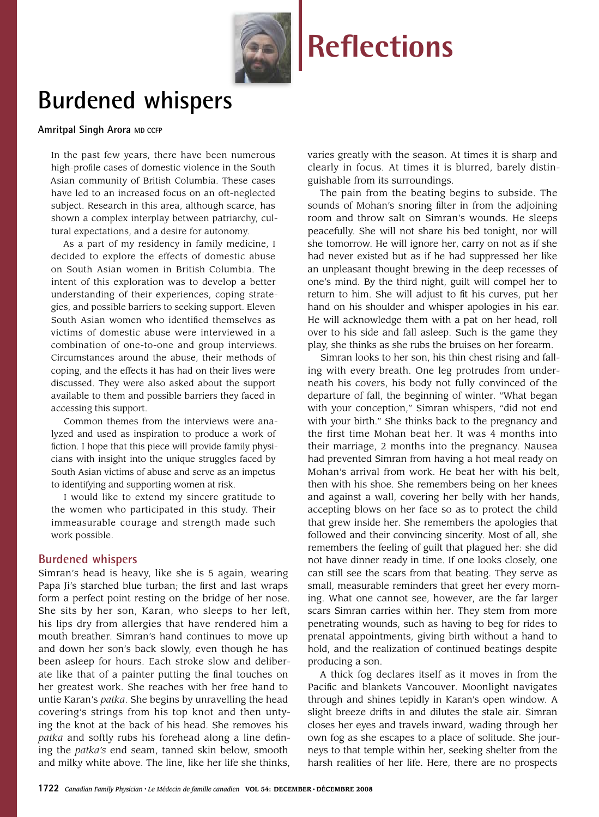

# **Burdened whispers**

#### **Amritpal Singh Arora MD CCFP**

In the past few years, there have been numerous high-profile cases of domestic violence in the South Asian community of British Columbia. These cases have led to an increased focus on an oft-neglected subject. Research in this area, although scarce, has shown a complex interplay between patriarchy, cultural expectations, and a desire for autonomy.

As a part of my residency in family medicine, I decided to explore the effects of domestic abuse on South Asian women in British Columbia. The intent of this exploration was to develop a better understanding of their experiences, coping strategies, and possible barriers to seeking support. Eleven South Asian women who identified themselves as victims of domestic abuse were interviewed in a combination of one-to-one and group interviews. Circumstances around the abuse, their methods of coping, and the effects it has had on their lives were discussed. They were also asked about the support available to them and possible barriers they faced in accessing this support.

Common themes from the interviews were analyzed and used as inspiration to produce a work of fiction. I hope that this piece will provide family physicians with insight into the unique struggles faced by South Asian victims of abuse and serve as an impetus to identifying and supporting women at risk.

I would like to extend my sincere gratitude to the women who participated in this study. Their immeasurable courage and strength made such work possible.

#### **Burdened whispers**

Simran's head is heavy, like she is 5 again, wearing Papa Ji's starched blue turban; the first and last wraps form a perfect point resting on the bridge of her nose. She sits by her son, Karan, who sleeps to her left, his lips dry from allergies that have rendered him a mouth breather. Simran's hand continues to move up and down her son's back slowly, even though he has been asleep for hours. Each stroke slow and deliberate like that of a painter putting the final touches on her greatest work. She reaches with her free hand to untie Karan's *patka*. She begins by unravelling the head covering's strings from his top knot and then untying the knot at the back of his head. She removes his *patka* and softly rubs his forehead along a line defining the *patka's* end seam, tanned skin below, smooth and milky white above. The line, like her life she thinks, varies greatly with the season. At times it is sharp and clearly in focus. At times it is blurred, barely distinguishable from its surroundings.

The pain from the beating begins to subside. The sounds of Mohan's snoring filter in from the adjoining room and throw salt on Simran's wounds. He sleeps peacefully. She will not share his bed tonight, nor will she tomorrow. He will ignore her, carry on not as if she had never existed but as if he had suppressed her like an unpleasant thought brewing in the deep recesses of one's mind. By the third night, guilt will compel her to return to him. She will adjust to fit his curves, put her hand on his shoulder and whisper apologies in his ear. He will acknowledge them with a pat on her head, roll over to his side and fall asleep. Such is the game they play, she thinks as she rubs the bruises on her forearm.

Simran looks to her son, his thin chest rising and falling with every breath. One leg protrudes from underneath his covers, his body not fully convinced of the departure of fall, the beginning of winter. "What began with your conception," Simran whispers, "did not end with your birth." She thinks back to the pregnancy and the first time Mohan beat her. It was 4 months into their marriage, 2 months into the pregnancy. Nausea had prevented Simran from having a hot meal ready on Mohan's arrival from work. He beat her with his belt, then with his shoe. She remembers being on her knees and against a wall, covering her belly with her hands, accepting blows on her face so as to protect the child that grew inside her. She remembers the apologies that followed and their convincing sincerity. Most of all, she remembers the feeling of guilt that plagued her: she did not have dinner ready in time. If one looks closely, one can still see the scars from that beating. They serve as small, measurable reminders that greet her every morning. What one cannot see, however, are the far larger scars Simran carries within her. They stem from more penetrating wounds, such as having to beg for rides to prenatal appointments, giving birth without a hand to hold, and the realization of continued beatings despite producing a son.

A thick fog declares itself as it moves in from the Pacific and blankets Vancouver. Moonlight navigates through and shines tepidly in Karan's open window. A slight breeze drifts in and dilutes the stale air. Simran closes her eyes and travels inward, wading through her own fog as she escapes to a place of solitude. She journeys to that temple within her, seeking shelter from the harsh realities of her life. Here, there are no prospects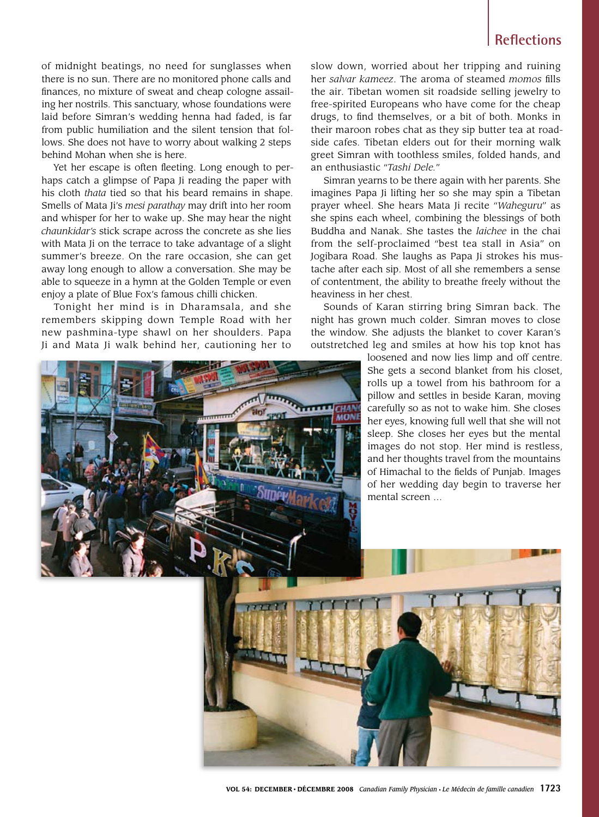of midnight beatings, no need for sunglasses when there is no sun. There are no monitored phone calls and finances, no mixture of sweat and cheap cologne assailing her nostrils. This sanctuary, whose foundations were laid before Simran's wedding henna had faded, is far from public humiliation and the silent tension that follows. She does not have to worry about walking 2 steps behind Mohan when she is here.

Yet her escape is often fleeting. Long enough to perhaps catch a glimpse of Papa Ji reading the paper with his cloth *thata* tied so that his beard remains in shape. Smells of Mata Ji's *mesi parathay* may drift into her room and whisper for her to wake up. She may hear the night *chaunkidar's* stick scrape across the concrete as she lies with Mata Ji on the terrace to take advantage of a slight summer's breeze. On the rare occasion, she can get away long enough to allow a conversation. She may be able to squeeze in a hymn at the Golden Temple or even enjoy a plate of Blue Fox's famous chilli chicken.

Tonight her mind is in Dharamsala, and she remembers skipping down Temple Road with her new pashmina-type shawl on her shoulders. Papa Ji and Mata Ji walk behind her, cautioning her to

slow down, worried about her tripping and ruining her *salvar kameez*. The aroma of steamed *momos* fills the air. Tibetan women sit roadside selling jewelry to free-spirited Europeans who have come for the cheap drugs, to find themselves, or a bit of both. Monks in their maroon robes chat as they sip butter tea at roadside cafes. Tibetan elders out for their morning walk greet Simran with toothless smiles, folded hands, and an enthusiastic "*Tashi Dele.*"

Simran yearns to be there again with her parents. She imagines Papa Ji lifting her so she may spin a Tibetan prayer wheel. She hears Mata Ji recite "*Waheguru*" as she spins each wheel, combining the blessings of both Buddha and Nanak. She tastes the *laichee* in the chai from the self-proclaimed "best tea stall in Asia" on Jogibara Road. She laughs as Papa Ji strokes his mustache after each sip. Most of all she remembers a sense of contentment, the ability to breathe freely without the heaviness in her chest.

Sounds of Karan stirring bring Simran back. The night has grown much colder. Simran moves to close the window. She adjusts the blanket to cover Karan's outstretched leg and smiles at how his top knot has

> loosened and now lies limp and off centre. She gets a second blanket from his closet, rolls up a towel from his bathroom for a pillow and settles in beside Karan, moving carefully so as not to wake him. She closes her eyes, knowing full well that she will not sleep. She closes her eyes but the mental images do not stop. Her mind is restless, and her thoughts travel from the mountains of Himachal to the fields of Punjab. Images of her wedding day begin to traverse her mental screen …

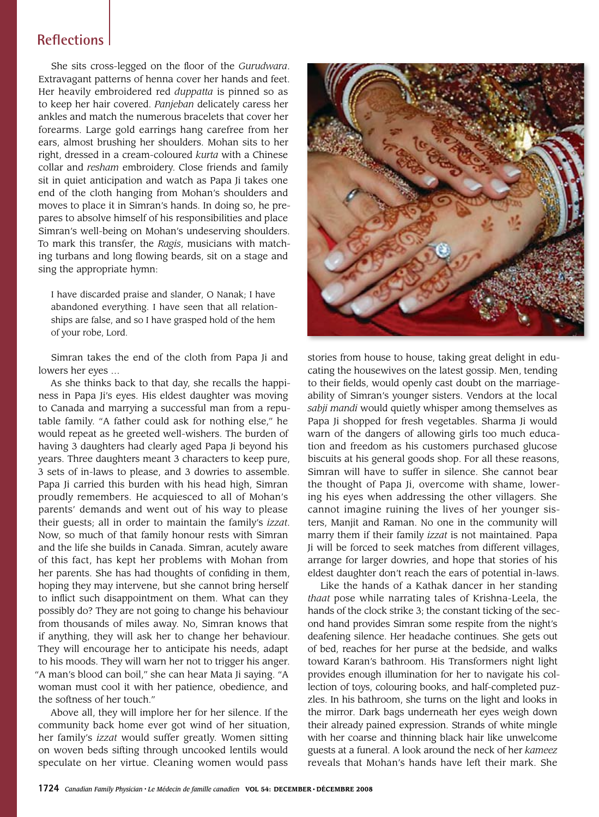She sits cross-legged on the floor of the *Gurudwara*. Extravagant patterns of henna cover her hands and feet. Her heavily embroidered red *duppatta* is pinned so as to keep her hair covered. *Panjeban* delicately caress her ankles and match the numerous bracelets that cover her forearms. Large gold earrings hang carefree from her ears, almost brushing her shoulders. Mohan sits to her right, dressed in a cream-coloured *kurta* with a Chinese collar and *resham* embroidery. Close friends and family sit in quiet anticipation and watch as Papa Ji takes one end of the cloth hanging from Mohan's shoulders and moves to place it in Simran's hands. In doing so, he prepares to absolve himself of his responsibilities and place Simran's well-being on Mohan's undeserving shoulders. To mark this transfer, the *Ragis*, musicians with matching turbans and long flowing beards, sit on a stage and sing the appropriate hymn:

I have discarded praise and slander, O Nanak; I have abandoned everything. I have seen that all relationships are false, and so I have grasped hold of the hem of your robe, Lord.

Simran takes the end of the cloth from Papa Ji and lowers her eyes …

As she thinks back to that day, she recalls the happiness in Papa Ji's eyes. His eldest daughter was moving to Canada and marrying a successful man from a reputable family. "A father could ask for nothing else," he would repeat as he greeted well-wishers. The burden of having 3 daughters had clearly aged Papa Ji beyond his years. Three daughters meant 3 characters to keep pure, 3 sets of in-laws to please, and 3 dowries to assemble. Papa Ji carried this burden with his head high, Simran proudly remembers. He acquiesced to all of Mohan's parents' demands and went out of his way to please their guests; all in order to maintain the family's *izzat*. Now, so much of that family honour rests with Simran and the life she builds in Canada. Simran, acutely aware of this fact, has kept her problems with Mohan from her parents. She has had thoughts of confiding in them, hoping they may intervene, but she cannot bring herself to inflict such disappointment on them. What can they possibly do? They are not going to change his behaviour from thousands of miles away. No, Simran knows that if anything, they will ask her to change her behaviour. They will encourage her to anticipate his needs, adapt to his moods. They will warn her not to trigger his anger. "A man's blood can boil," she can hear Mata Ji saying. "A woman must cool it with her patience, obedience, and the softness of her touch."

Above all, they will implore her for her silence. If the community back home ever got wind of her situation, her family's *izzat* would suffer greatly. Women sitting on woven beds sifting through uncooked lentils would speculate on her virtue. Cleaning women would pass



stories from house to house, taking great delight in educating the housewives on the latest gossip. Men, tending to their fields, would openly cast doubt on the marriageability of Simran's younger sisters. Vendors at the local *sabji mandi* would quietly whisper among themselves as Papa Ji shopped for fresh vegetables. Sharma Ji would warn of the dangers of allowing girls too much education and freedom as his customers purchased glucose biscuits at his general goods shop. For all these reasons, Simran will have to suffer in silence. She cannot bear the thought of Papa Ji, overcome with shame, lowering his eyes when addressing the other villagers. She cannot imagine ruining the lives of her younger sisters, Manjit and Raman. No one in the community will marry them if their family *izzat* is not maintained. Papa Ji will be forced to seek matches from different villages, arrange for larger dowries, and hope that stories of his eldest daughter don't reach the ears of potential in-laws.

Like the hands of a Kathak dancer in her standing *thaat* pose while narrating tales of Krishna-Leela, the hands of the clock strike 3; the constant ticking of the second hand provides Simran some respite from the night's deafening silence. Her headache continues. She gets out of bed, reaches for her purse at the bedside, and walks toward Karan's bathroom. His Transformers night light provides enough illumination for her to navigate his collection of toys, colouring books, and half-completed puzzles. In his bathroom, she turns on the light and looks in the mirror. Dark bags underneath her eyes weigh down their already pained expression. Strands of white mingle with her coarse and thinning black hair like unwelcome guests at a funeral. A look around the neck of her *kameez* reveals that Mohan's hands have left their mark. She